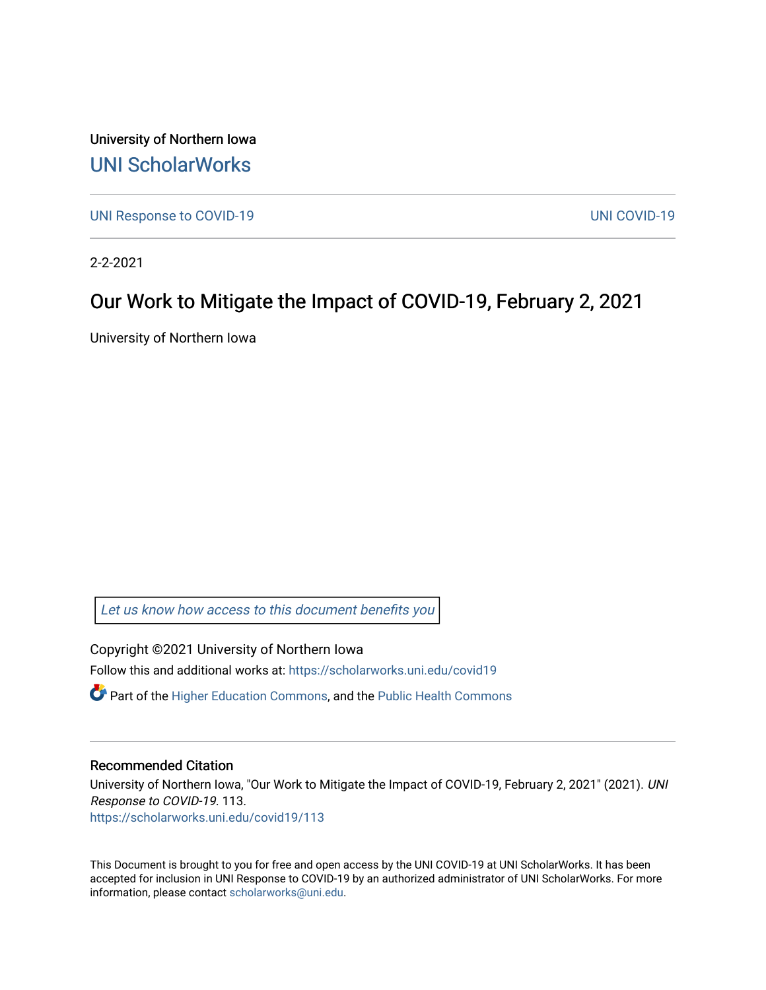University of Northern Iowa [UNI ScholarWorks](https://scholarworks.uni.edu/) 

[UNI Response to COVID-19](https://scholarworks.uni.edu/covid19) [UNI COVID-19](https://scholarworks.uni.edu/covid) 

2-2-2021

### Our Work to Mitigate the Impact of COVID-19, February 2, 2021

University of Northern Iowa

[Let us know how access to this document benefits you](https://scholarworks.uni.edu/feedback_form.html) 

Copyright ©2021 University of Northern Iowa Follow this and additional works at: [https://scholarworks.uni.edu/covid19](https://scholarworks.uni.edu/covid19?utm_source=scholarworks.uni.edu%2Fcovid19%2F113&utm_medium=PDF&utm_campaign=PDFCoverPages)

 $\bullet$  Part of the [Higher Education Commons,](http://network.bepress.com/hgg/discipline/1245?utm_source=scholarworks.uni.edu%2Fcovid19%2F113&utm_medium=PDF&utm_campaign=PDFCoverPages) and the Public Health Commons

#### Recommended Citation

University of Northern Iowa, "Our Work to Mitigate the Impact of COVID-19, February 2, 2021" (2021). UNI Response to COVID-19. 113. [https://scholarworks.uni.edu/covid19/113](https://scholarworks.uni.edu/covid19/113?utm_source=scholarworks.uni.edu%2Fcovid19%2F113&utm_medium=PDF&utm_campaign=PDFCoverPages)

This Document is brought to you for free and open access by the UNI COVID-19 at UNI ScholarWorks. It has been accepted for inclusion in UNI Response to COVID-19 by an authorized administrator of UNI ScholarWorks. For more information, please contact [scholarworks@uni.edu.](mailto:scholarworks@uni.edu)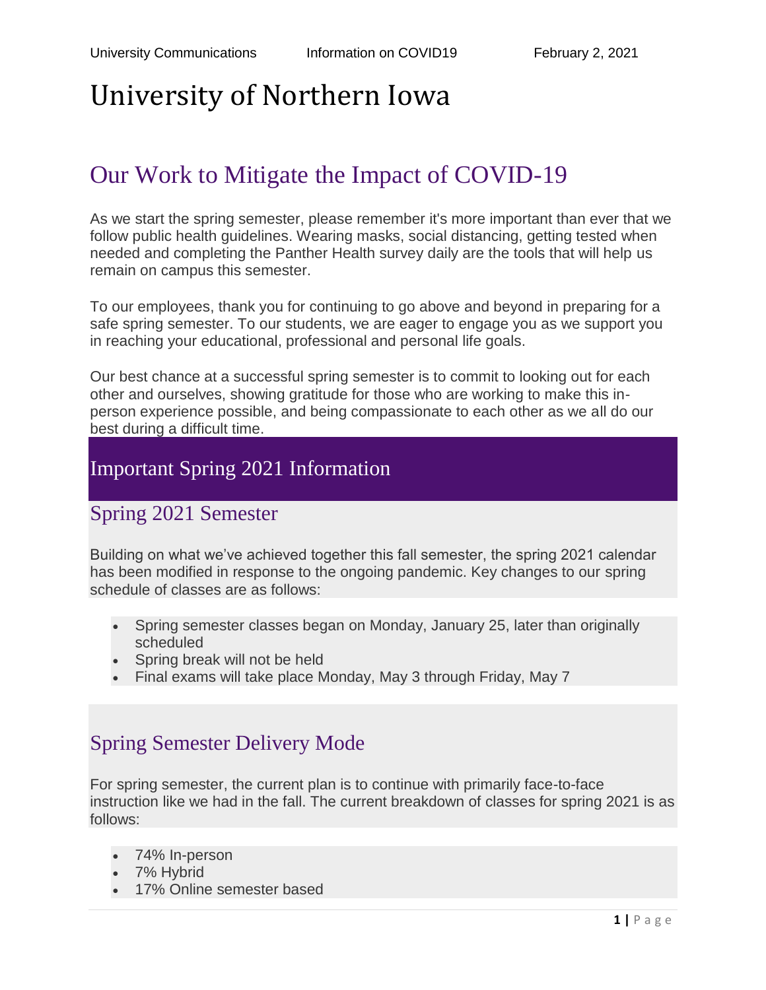## Our Work to Mitigate the Impact of COVID-19

As we start the spring semester, please remember it's more important than ever that we follow public health guidelines. Wearing masks, social distancing, getting tested when needed and completing the Panther Health survey daily are the tools that will help us remain on campus this semester.

To our employees, thank you for continuing to go above and beyond in preparing for a safe spring semester. To our students, we are eager to engage you as we support you in reaching your educational, professional and personal life goals.

Our best chance at a successful spring semester is to commit to looking out for each other and ourselves, showing gratitude for those who are working to make this inperson experience possible, and being compassionate to each other as we all do our best during a difficult time.

### Important Spring 2021 Information

### Spring 2021 Semester

Building on what we've achieved together this fall semester, the spring 2021 calendar has been modified in response to the ongoing pandemic. Key changes to our spring schedule of classes are as follows:

- Spring semester classes began on Monday, January 25, later than originally scheduled
- Spring break will not be held
- Final exams will take place Monday, May 3 through Friday, May 7

## Spring Semester Delivery Mode

For spring semester, the current plan is to continue with primarily face-to-face instruction like we had in the fall. The current breakdown of classes for spring 2021 is as follows:

- 74% In-person
- 7% Hybrid
- 17% Online semester based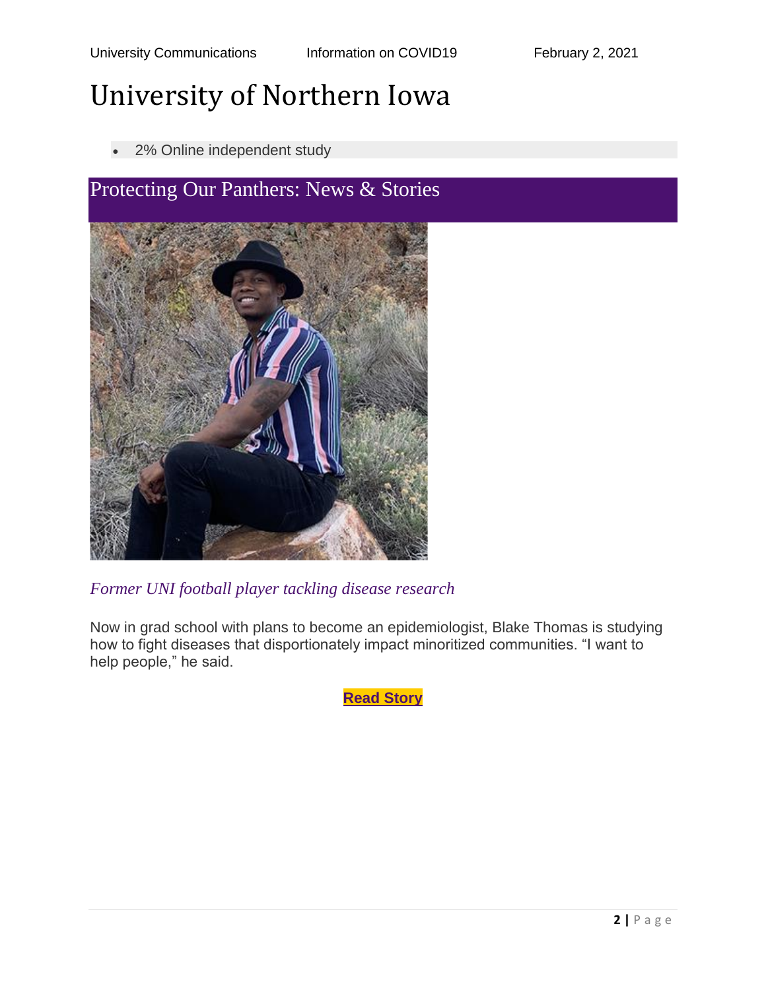2% Online independent study



#### *Former UNI football player tackling disease research*

Now in grad school with plans to become an epidemiologist, Blake Thomas is studying how to fight diseases that disportionately impact minoritized communities. "I want to help people," he said.

**Read [Story](https://insideuni.uni.edu/former-uni-football-player-tackling-disease-research)**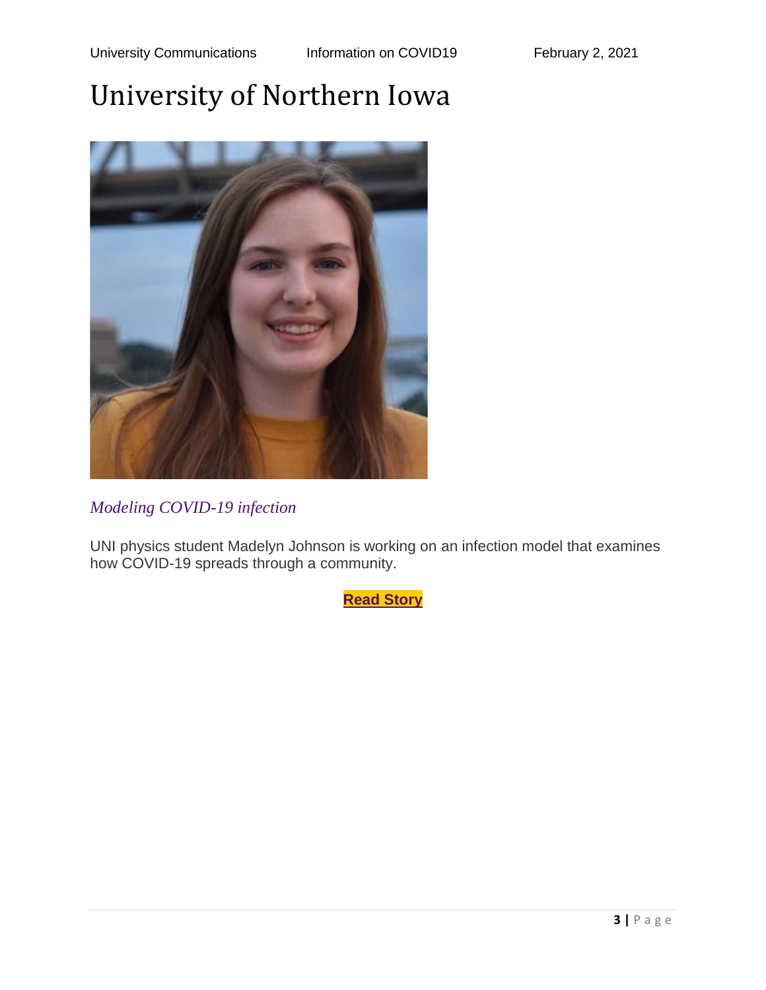

*Modeling COVID-19 infection*

UNI physics student Madelyn Johnson is working on an infection model that examines how COVID-19 spreads through a community.

**Read [Story](https://insideuni.uni.edu/modeling-covid-19-infection)**